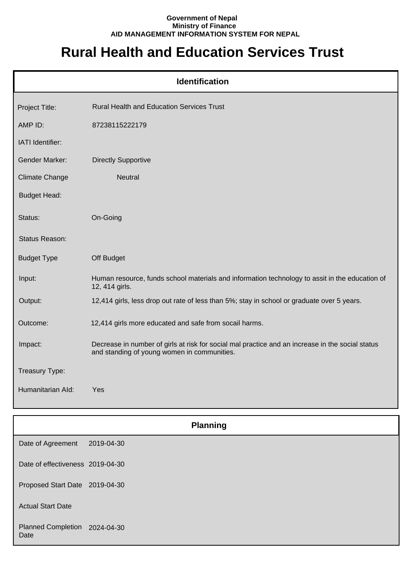## **Government of Nepal Ministry of Finance AID MANAGEMENT INFORMATION SYSTEM FOR NEPAL**

## **Rural Health and Education Services Trust**

|                       | <b>Identification</b>                                                                                                                           |
|-----------------------|-------------------------------------------------------------------------------------------------------------------------------------------------|
| Project Title:        | <b>Rural Health and Education Services Trust</b>                                                                                                |
| AMP ID:               | 87238115222179                                                                                                                                  |
| IATI Identifier:      |                                                                                                                                                 |
| <b>Gender Marker:</b> | <b>Directly Supportive</b>                                                                                                                      |
| Climate Change        | <b>Neutral</b>                                                                                                                                  |
| <b>Budget Head:</b>   |                                                                                                                                                 |
| Status:               | On-Going                                                                                                                                        |
| Status Reason:        |                                                                                                                                                 |
| <b>Budget Type</b>    | Off Budget                                                                                                                                      |
| Input:                | Human resource, funds school materials and information technology to assit in the education of<br>12, 414 girls.                                |
| Output:               | 12,414 girls, less drop out rate of less than 5%; stay in school or graduate over 5 years.                                                      |
| Outcome:              | 12,414 girls more educated and safe from socail harms.                                                                                          |
| Impact:               | Decrease in number of girls at risk for social mal practice and an increase in the social status<br>and standing of young women in communities. |
| Treasury Type:        |                                                                                                                                                 |
| Humanitarian Ald:     | Yes                                                                                                                                             |

|                                       |            | <b>Planning</b> |
|---------------------------------------|------------|-----------------|
| Date of Agreement                     | 2019-04-30 |                 |
| Date of effectiveness 2019-04-30      |            |                 |
| Proposed Start Date 2019-04-30        |            |                 |
| <b>Actual Start Date</b>              |            |                 |
| Planned Completion 2024-04-30<br>Date |            |                 |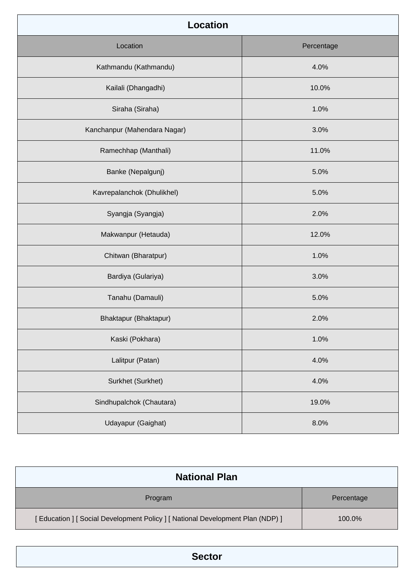| <b>Location</b>              |            |  |
|------------------------------|------------|--|
| Location                     | Percentage |  |
| Kathmandu (Kathmandu)        | 4.0%       |  |
| Kailali (Dhangadhi)          | 10.0%      |  |
| Siraha (Siraha)              | 1.0%       |  |
| Kanchanpur (Mahendara Nagar) | 3.0%       |  |
| Ramechhap (Manthali)         | 11.0%      |  |
| Banke (Nepalgunj)            | 5.0%       |  |
| Kavrepalanchok (Dhulikhel)   | 5.0%       |  |
| Syangja (Syangja)            | 2.0%       |  |
| Makwanpur (Hetauda)          | 12.0%      |  |
| Chitwan (Bharatpur)          | 1.0%       |  |
| Bardiya (Gulariya)           | 3.0%       |  |
| Tanahu (Damauli)             | 5.0%       |  |
| Bhaktapur (Bhaktapur)        | 2.0%       |  |
| Kaski (Pokhara)              | 1.0%       |  |
| Lalitpur (Patan)             | 4.0%       |  |
| Surkhet (Surkhet)            | 4.0%       |  |
| Sindhupalchok (Chautara)     | 19.0%      |  |
| Udayapur (Gaighat)           | 8.0%       |  |

| <b>National Plan</b>                                                            |            |
|---------------------------------------------------------------------------------|------------|
| Program                                                                         | Percentage |
| [ Education ] [ Social Development Policy ] [ National Development Plan (NDP) ] | 100.0%     |

**Sector**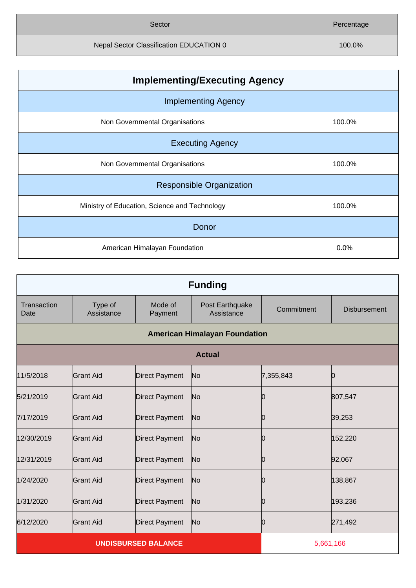| Sector                                  | Percentage |
|-----------------------------------------|------------|
| Nepal Sector Classification EDUCATION 0 | 100.0%     |

| <b>Implementing/Executing Agency</b>          |        |  |
|-----------------------------------------------|--------|--|
| <b>Implementing Agency</b>                    |        |  |
| Non Governmental Organisations                | 100.0% |  |
| <b>Executing Agency</b>                       |        |  |
| Non Governmental Organisations                | 100.0% |  |
| <b>Responsible Organization</b>               |        |  |
| Ministry of Education, Science and Technology | 100.0% |  |
| Donor                                         |        |  |
| American Himalayan Foundation                 | 0.0%   |  |

| <b>Funding</b>             |                       |                       |                                      |            |                     |
|----------------------------|-----------------------|-----------------------|--------------------------------------|------------|---------------------|
| Transaction<br>Date        | Type of<br>Assistance | Mode of<br>Payment    | Post Earthquake<br>Assistance        | Commitment | <b>Disbursement</b> |
|                            |                       |                       | <b>American Himalayan Foundation</b> |            |                     |
|                            |                       |                       | <b>Actual</b>                        |            |                     |
| 11/5/2018                  | <b>Grant Aid</b>      | <b>Direct Payment</b> | No                                   | 7,355,843  | Ю                   |
| 5/21/2019                  | Grant Aid             | <b>Direct Payment</b> | No                                   | O          | 807,547             |
| 7/17/2019                  | <b>Grant Aid</b>      | <b>Direct Payment</b> | No                                   | Ю          | 39,253              |
| 12/30/2019                 | <b>Grant Aid</b>      | <b>Direct Payment</b> | No                                   | Ю          | 152,220             |
| 12/31/2019                 | <b>Grant Aid</b>      | <b>Direct Payment</b> | No                                   | Ю          | 92,067              |
| 1/24/2020                  | <b>Grant Aid</b>      | <b>Direct Payment</b> | No                                   | Ю          | 138,867             |
| 1/31/2020                  | <b>Grant Aid</b>      | <b>Direct Payment</b> | No                                   | Ю          | 193,236             |
| 6/12/2020                  | <b>Grant Aid</b>      | <b>Direct Payment</b> | No                                   | Ю          | 271,492             |
| <b>UNDISBURSED BALANCE</b> |                       |                       | 5,661,166                            |            |                     |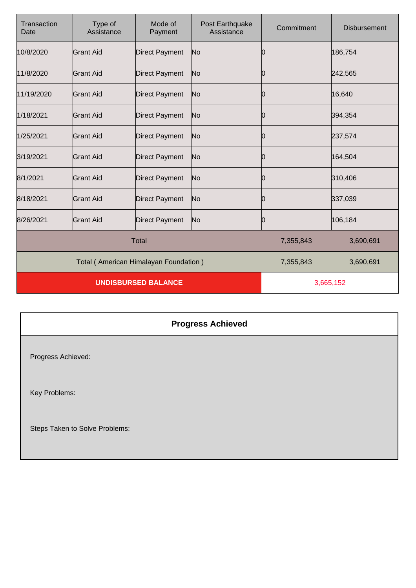| Transaction<br>Date        | Type of<br>Assistance                 | Mode of<br>Payment    | Post Earthquake<br>Assistance | Commitment | <b>Disbursement</b> |
|----------------------------|---------------------------------------|-----------------------|-------------------------------|------------|---------------------|
| 10/8/2020                  | <b>Grant Aid</b>                      | <b>Direct Payment</b> | No                            | Ю          | 186,754             |
| 11/8/2020                  | <b>Grant Aid</b>                      | <b>Direct Payment</b> | No                            | Ю          | 242,565             |
| 11/19/2020                 | <b>Grant Aid</b>                      | <b>Direct Payment</b> | No                            | Ю          | 16,640              |
| 1/18/2021                  | Grant Aid                             | <b>Direct Payment</b> | No                            | Ю          | 394,354             |
| 1/25/2021                  | Grant Aid                             | <b>Direct Payment</b> | No                            | 10         | 237,574             |
| 3/19/2021                  | <b>Grant Aid</b>                      | <b>Direct Payment</b> | No                            | 10         | 164,504             |
| 8/1/2021                   | <b>Grant Aid</b>                      | <b>Direct Payment</b> | No                            | Ю          | 310,406             |
| 8/18/2021                  | <b>Grant Aid</b>                      | <b>Direct Payment</b> | No                            | Ю          | 337,039             |
| 8/26/2021                  | <b>Grant Aid</b>                      | <b>Direct Payment</b> | No                            | Ю          | 106,184             |
| <b>Total</b>               |                                       |                       | 7,355,843                     | 3,690,691  |                     |
|                            | Total (American Himalayan Foundation) |                       |                               | 7,355,843  | 3,690,691           |
| <b>UNDISBURSED BALANCE</b> |                                       |                       | 3,665,152                     |            |                     |

## **Progress Achieved**

Progress Achieved:

Key Problems:

Steps Taken to Solve Problems: